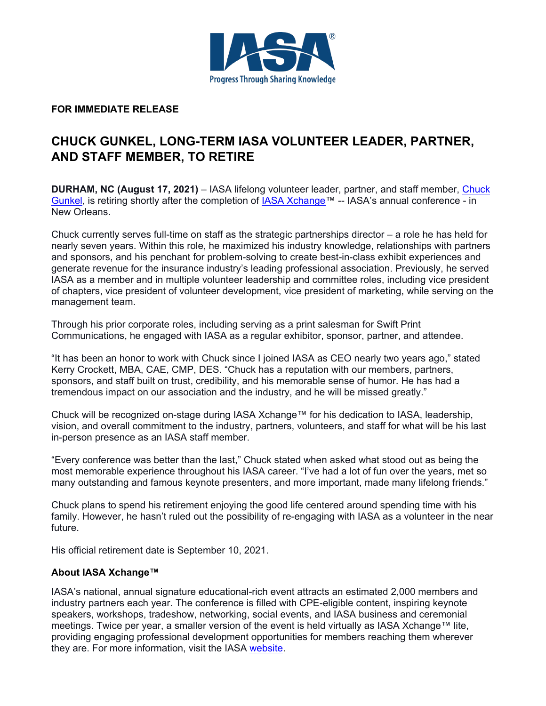

**FOR IMMEDIATE RELEASE**

## **CHUCK GUNKEL, LONG-TERM IASA VOLUNTEER LEADER, PARTNER, AND STAFF MEMBER, TO RETIRE**

**DURHAM, NC (August 17, 2021)** – IASA lifelong volunteer leader, partner, and staff member, [Chuck](https://www.linkedin.com/in/chuck-gunkel-762218b/)  [Gunkel,](https://www.linkedin.com/in/chuck-gunkel-762218b/) is retiring shortly after the completion of [IASA Xchange™](http://iasa.org/xchange) -- IASA's annual conference - in New Orleans.

Chuck currently serves full-time on staff as the strategic partnerships director – a role he has held for nearly seven years. Within this role, he maximized his industry knowledge, relationships with partners and sponsors, and his penchant for problem-solving to create best-in-class exhibit experiences and generate revenue for the insurance industry's leading professional association. Previously, he served IASA as a member and in multiple volunteer leadership and committee roles, including vice president of chapters, vice president of volunteer development, vice president of marketing, while serving on the management team.

Through his prior corporate roles, including serving as a print salesman for Swift Print Communications, he engaged with IASA as a regular exhibitor, sponsor, partner, and attendee.

"It has been an honor to work with Chuck since I joined IASA as CEO nearly two years ago," stated Kerry Crockett, MBA, CAE, CMP, DES. "Chuck has a reputation with our members, partners, sponsors, and staff built on trust, credibility, and his memorable sense of humor. He has had a tremendous impact on our association and the industry, and he will be missed greatly."

Chuck will be recognized on-stage during IASA Xchange™ for his dedication to IASA, leadership, vision, and overall commitment to the industry, partners, volunteers, and staff for what will be his last in-person presence as an IASA staff member.

"Every conference was better than the last," Chuck stated when asked what stood out as being the most memorable experience throughout his IASA career. "I've had a lot of fun over the years, met so many outstanding and famous keynote presenters, and more important, made many lifelong friends."

Chuck plans to spend his retirement enjoying the good life centered around spending time with his family. However, he hasn't ruled out the possibility of re-engaging with IASA as a volunteer in the near future.

His official retirement date is September 10, 2021.

## **About IASA Xchange™**

IASA's national, annual signature educational-rich event attracts an estimated 2,000 members and industry partners each year. The conference is filled with CPE-eligible content, inspiring keynote speakers, workshops, tradeshow, networking, social events, and IASA business and ceremonial meetings. Twice per year, a smaller version of the event is held virtually as IASA Xchange™ lite, providing engaging professional development opportunities for members reaching them wherever they are. For more information, visit the IASA [website.](http://iasa.org/)